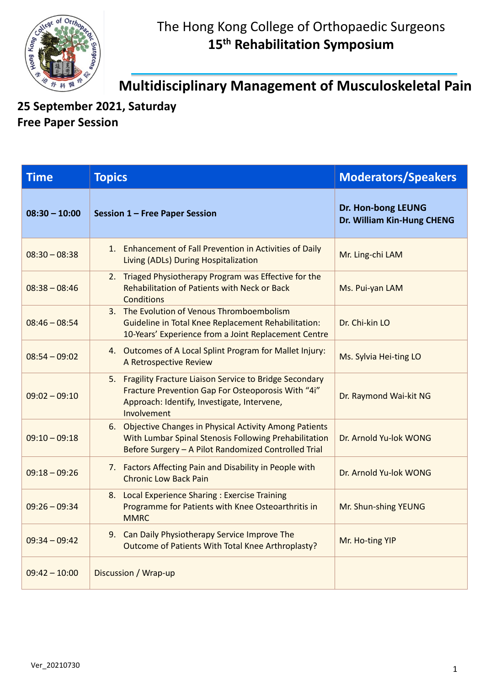

**Multidisciplinary Management of Musculoskeletal Pain**

**25 September 2021, Saturday Free Paper Session** 

| <b>Time</b>     | <b>Topics</b>                                                                                                                                                                 | <b>Moderators/Speakers</b>                       |
|-----------------|-------------------------------------------------------------------------------------------------------------------------------------------------------------------------------|--------------------------------------------------|
| $08:30 - 10:00$ | Session 1 - Free Paper Session                                                                                                                                                | Dr. Hon-bong LEUNG<br>Dr. William Kin-Hung CHENG |
| $08:30 - 08:38$ | 1. Enhancement of Fall Prevention in Activities of Daily<br>Living (ADLs) During Hospitalization                                                                              | Mr. Ling-chi LAM                                 |
| $08:38 - 08:46$ | 2. Triaged Physiotherapy Program was Effective for the<br>Rehabilitation of Patients with Neck or Back<br><b>Conditions</b>                                                   | Ms. Pui-yan LAM                                  |
| $08:46 - 08:54$ | 3. The Evolution of Venous Thromboembolism<br><b>Guideline in Total Knee Replacement Rehabilitation:</b><br>10-Years' Experience from a Joint Replacement Centre              | Dr. Chi-kin LO                                   |
| $08:54 - 09:02$ | 4. Outcomes of A Local Splint Program for Mallet Injury:<br>A Retrospective Review                                                                                            | Ms. Sylvia Hei-ting LO                           |
| $09:02 - 09:10$ | 5. Fragility Fracture Liaison Service to Bridge Secondary<br>Fracture Prevention Gap For Osteoporosis With "4i"<br>Approach: Identify, Investigate, Intervene,<br>Involvement | Dr. Raymond Wai-kit NG                           |
| $09:10 - 09:18$ | 6. Objective Changes in Physical Activity Among Patients<br>With Lumbar Spinal Stenosis Following Prehabilitation<br>Before Surgery - A Pilot Randomized Controlled Trial     | Dr. Arnold Yu-lok WONG                           |
| $09:18 - 09:26$ | 7. Factors Affecting Pain and Disability in People with<br><b>Chronic Low Back Pain</b>                                                                                       | Dr. Arnold Yu-lok WONG                           |
| $09:26 - 09:34$ | 8. Local Experience Sharing: Exercise Training<br>Programme for Patients with Knee Osteoarthritis in<br><b>MMRC</b>                                                           | Mr. Shun-shing YEUNG                             |
| $09:34 - 09:42$ | 9. Can Daily Physiotherapy Service Improve The<br>Outcome of Patients With Total Knee Arthroplasty?                                                                           | Mr. Ho-ting YIP                                  |
| $09:42 - 10:00$ | Discussion / Wrap-up                                                                                                                                                          |                                                  |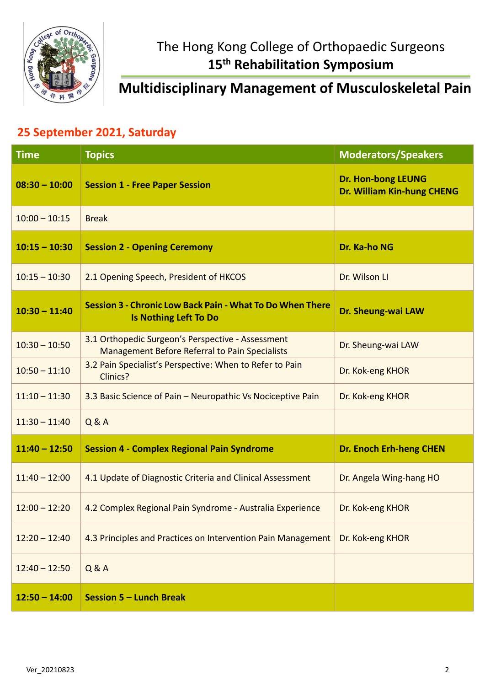

## **Multidisciplinary Management of Musculoskeletal Pain**

## **25 September 2021, Saturday**

| <b>Time</b>     | <b>Topics</b>                                                                                       | <b>Moderators/Speakers</b>                                     |
|-----------------|-----------------------------------------------------------------------------------------------------|----------------------------------------------------------------|
| $08:30 - 10:00$ | <b>Session 1 - Free Paper Session</b>                                                               | <b>Dr. Hon-bong LEUNG</b><br><b>Dr. William Kin-hung CHENG</b> |
| $10:00 - 10:15$ | <b>Break</b>                                                                                        |                                                                |
| $10:15 - 10:30$ | <b>Session 2 - Opening Ceremony</b>                                                                 | Dr. Ka-ho NG                                                   |
| $10:15 - 10:30$ | 2.1 Opening Speech, President of HKCOS                                                              | Dr. Wilson Ll                                                  |
| $10:30 - 11:40$ | <b>Session 3 - Chronic Low Back Pain - What To Do When There</b><br><b>Is Nothing Left To Do</b>    | Dr. Sheung-wai LAW                                             |
| $10:30 - 10:50$ | 3.1 Orthopedic Surgeon's Perspective - Assessment<br>Management Before Referral to Pain Specialists | Dr. Sheung-wai LAW                                             |
| $10:50 - 11:10$ | 3.2 Pain Specialist's Perspective: When to Refer to Pain<br>Clinics?                                | Dr. Kok-eng KHOR                                               |
| $11:10 - 11:30$ | 3.3 Basic Science of Pain - Neuropathic Vs Nociceptive Pain                                         | Dr. Kok-eng KHOR                                               |
| $11:30 - 11:40$ | Q & A                                                                                               |                                                                |
| $11:40 - 12:50$ | <b>Session 4 - Complex Regional Pain Syndrome</b>                                                   | <b>Dr. Enoch Erh-heng CHEN</b>                                 |
| $11:40 - 12:00$ | 4.1 Update of Diagnostic Criteria and Clinical Assessment                                           | Dr. Angela Wing-hang HO                                        |
| $12:00 - 12:20$ | 4.2 Complex Regional Pain Syndrome - Australia Experience                                           | Dr. Kok-eng KHOR                                               |
| $12:20 - 12:40$ | 4.3 Principles and Practices on Intervention Pain Management                                        | Dr. Kok-eng KHOR                                               |
| $12:40 - 12:50$ | Q & A                                                                                               |                                                                |
| $12:50 - 14:00$ | <b>Session 5 - Lunch Break</b>                                                                      |                                                                |